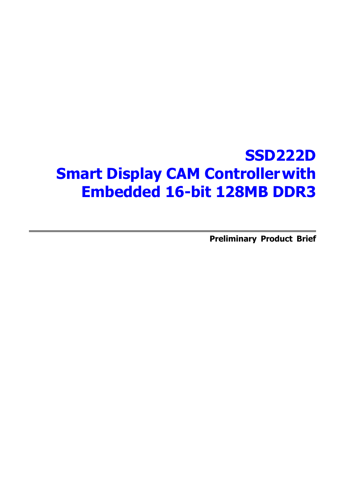# **SSD222D Smart Display CAM Controllerwith Embedded 16-bit 128MB DDR3**

**Preliminary Product Brief**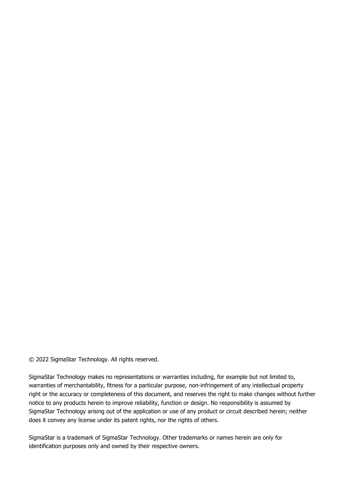© 2022 SigmaStar Technology. All rights reserved.

SigmaStar Technology makes no representations or warranties including, for example but not limited to, warranties of merchantability, fitness for a particular purpose, non-infringement of any intellectual property right or the accuracy or completeness of this document, and reserves the right to make changes without further notice to any products herein to improve reliability, function or design. No responsibility is assumed by SigmaStar Technology arising out of the application or use of any product or circuit described herein; neither does it convey any license under its patent rights, nor the rights of others.

SigmaStar is a trademark of SigmaStar Technology. Other trademarks or names herein are only for identification purposes only and owned by their respective owners.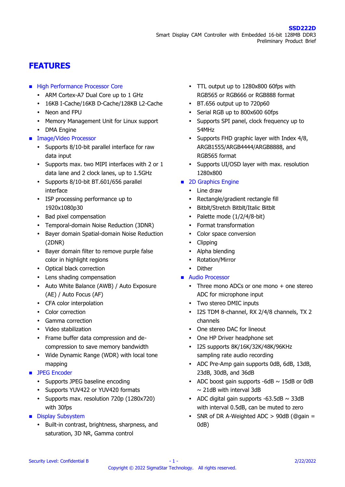## **FEATURES**

- **High Performance Processor Core** 
	- ARM Cortex-A7 Dual Core up to 1 GHz
	- 16KB I-Cache/16KB D-Cache/128KB L2-Cache
	- Neon and FPU
	- Memory Management Unit for Linux support
	- DMA Engine
- **Image/Video Processor** 
	- Supports 8/10-bit parallel interface for raw data input
	- Supports max. two MIPI interfaces with 2 or 1 data lane and 2 clock lanes, up to 1.5GHz
	- Supports 8/10-bit BT.601/656 parallel interface
	- ISP processing performance up to 1920x1080p30
	- Bad pixel compensation
	- Temporal-domain Noise Reduction (3DNR)
	- Bayer domain Spatial-domain Noise Reduction (2DNR)
	- Bayer domain filter to remove purple false color in highlight regions
	- Optical black correction
	- Lens shading compensation
	- Auto White Balance (AWB) / Auto Exposure (AE) / Auto Focus (AF)
	- CFA color interpolation
	- Color correction
	- Gamma correction
	- Video stabilization
	- Frame buffer data compression and decompression to save memory bandwidth
	- Wide Dynamic Range (WDR) with local tone mapping
- **JPEG Encoder** 
	- Supports JPEG baseline encoding
	- Supports YUV422 or YUV420 formats
	- Supports max. resolution 720p (1280x720) with 30fps
- **Display Subsystem** 
	- Built-in contrast, brightness, sharpness, and saturation, 3D NR, Gamma control
- TTL output up to 1280x800 60fps with RGB565 or RGB666 or RGB888 format
- BT.656 output up to 720p60
- Serial RGB up to 800x600 60fps
- Supports SPI panel, clock frequency up to 54MHz
- Supports FHD graphic layer with Index 4/8, ARGB1555/ARGB4444/ARGB8888, and RGB565 format
- Supports UI/OSD layer with max. resolution 1280x800
- 2D Graphics Engine
	- Line draw
	- Rectangle/gradient rectangle fill
	- Bitblt/Stretch Bitblt/Italic Bitblt
	- Palette mode  $(1/2/4/8$ -bit)
	- Format transformation
	- Color space conversion
	- Clipping
	- Alpha blending
	- Rotation/Mirror
	- Dither
- **Audio Processor** 
	- Three mono ADCs or one mono + one stereo ADC for microphone input
	- Two stereo DMIC inputs
	- I2S TDM 8-channel, RX 2/4/8 channels, TX 2 channels
	- One stereo DAC for lineout
	- One HP Driver headphone set
	- I2S supports 8K/16K/32K/48K/96KHz sampling rate audio recording
	- ADC Pre-Amp gain supports 0dB, 6dB, 13dB, 23dB, 30dB, and 36dB
	- ADC boost gain supports  $-6dB \sim 15dB$  or 0dB  $\sim$  21dB with interval 3dB
	- ADC digital gain supports  $-63.5dB \sim 33dB$ with interval 0.5dB, can be muted to zero
	- SNR of DR A-Weighted ADC  $> 90$ dB (@gain = 0dB)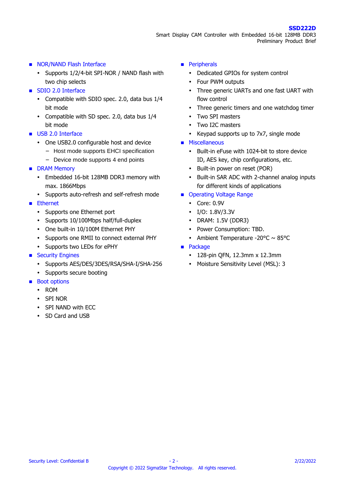#### NOR/NAND Flash Interface

- Supports 1/2/4-bit SPI-NOR / NAND flash with two chip selects
- **SDIO 2.0 Interface** 
	- Compatible with SDIO spec. 2.0, data bus 1/4 bit mode
	- Compatible with SD spec. 2.0, data bus 1/4 bit mode
- USB 2.0 Interface
	- One USB2.0 configurable host and device
		- − Host mode supports EHCI specification
		- − Device mode supports 4 end points
- **DRAM Memory** 
	- Embedded 16-bit 128MB DDR3 memory with max. 1866Mbps
	- Supports auto-refresh and self-refresh mode
- **Ethernet** 
	- Supports one Ethernet port
	- Supports 10/100Mbps half/full-duplex
	- One built-in 10/100M Ethernet PHY
	- Supports one RMII to connect external PHY
	- Supports two LEDs for ePHY
- Security Engines
	- Supports AES/DES/3DES/RSA/SHA-I/SHA-256
	- Supports secure booting
- Boot options
	- ROM
	- SPI NOR
	- SPI NAND with ECC
	- SD Card and USB

#### **Peripherals**

- Dedicated GPIOs for system control
- Four PWM outputs
- Three generic UARTs and one fast UART with flow control
- Three generic timers and one watchdog timer
- Two SPI masters
- Two I2C masters
- Keypad supports up to 7x7, single mode
- **Miscellaneous** 
	- Built-in eFuse with 1024-bit to store device ID, AES key, chip configurations, etc.
	- Built-in power on reset (POR)
	- Built-in SAR ADC with 2-channel analog inputs for different kinds of applications
- Operating Voltage Range
	- Core: 0.9V
	- I/O: 1.8V/3.3V
	- DRAM: 1.5V (DDR3)
	- Power Consumption: TBD.
	- Ambient Temperature -20 $\degree$ C  $\sim$  85 $\degree$ C
- **Package** 
	- 128-pin QFN, 12.3mm x 12.3mm
	- Moisture Sensitivity Level (MSL): 3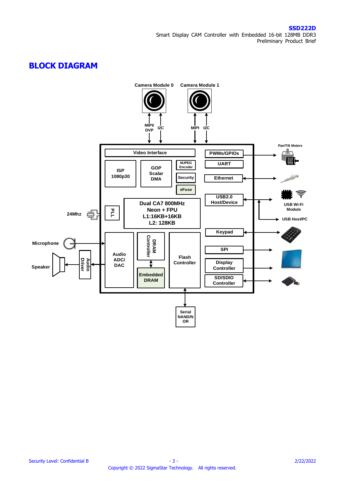## **BLOCK DIAGRAM**